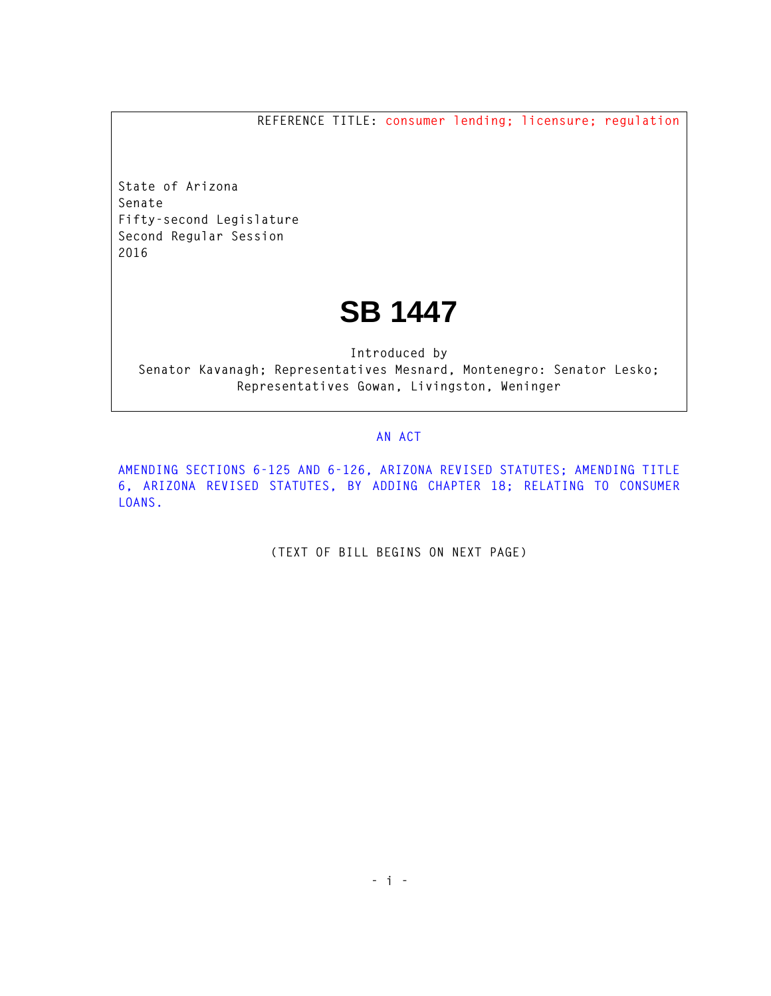**REFERENCE TITLE: consumer lending; licensure; regulation**

**State of Arizona Senate Fifty-second Legislature Second Regular Session 2016** 

## **SB 1447**

**Introduced by Senator Kavanagh; Representatives Mesnard, Montenegro: Senator Lesko; Representatives Gowan, Livingston, Weninger** 

## **AN ACT**

**AMENDING SECTIONS 6-125 AND 6-126, ARIZONA REVISED STATUTES; AMENDING TITLE 6, ARIZONA REVISED STATUTES, BY ADDING CHAPTER 18; RELATING TO CONSUMER LOANS.** 

**(TEXT OF BILL BEGINS ON NEXT PAGE)**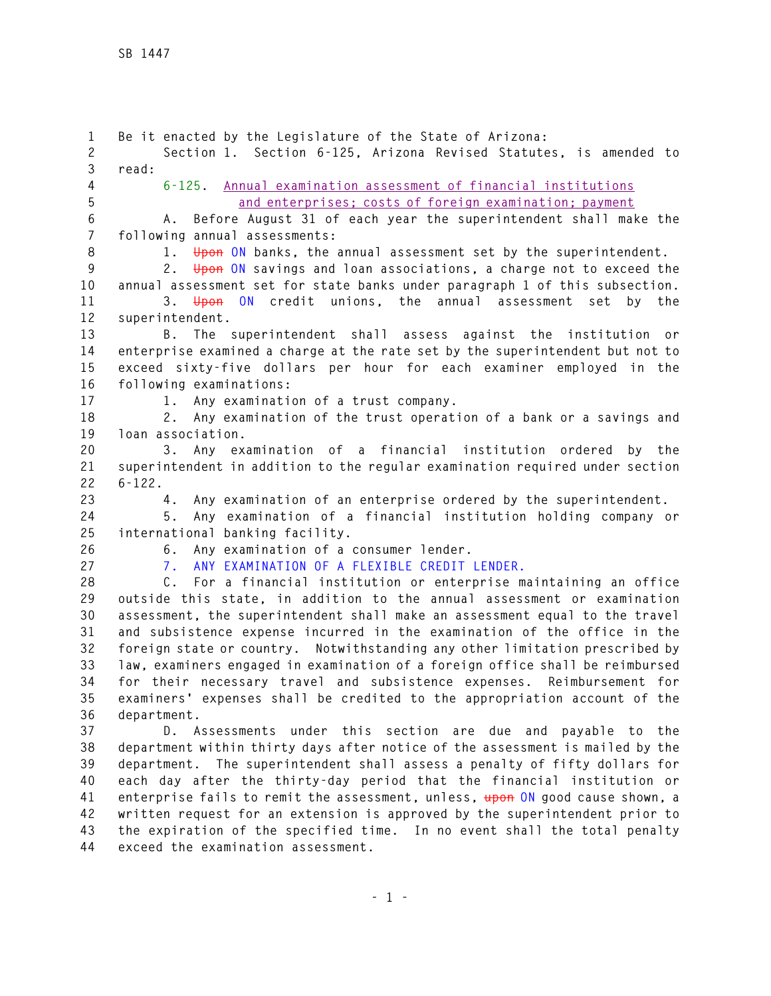**1 Be it enacted by the Legislature of the State of Arizona: 2 Section 1. Section 6-125, Arizona Revised Statutes, is amended to 3 read: 4 6-125. Annual examination assessment of financial institutions 5 and enterprises; costs of foreign examination; payment 6 A. Before August 31 of each year the superintendent shall make the 7 following annual assessments: 8 1. Upon ON banks, the annual assessment set by the superintendent. 9 2. Upon ON savings and loan associations, a charge not to exceed the 10 annual assessment set for state banks under paragraph 1 of this subsection. 11 3. Upon ON credit unions, the annual assessment set by the 12 superintendent. 13 B. The superintendent shall assess against the institution or 14 enterprise examined a charge at the rate set by the superintendent but not to 15 exceed sixty-five dollars per hour for each examiner employed in the 16 following examinations: 17 1. Any examination of a trust company. 18 2. Any examination of the trust operation of a bank or a savings and 19 loan association. 20 3. Any examination of a financial institution ordered by the 21 superintendent in addition to the regular examination required under section 22 6-122. 23 4. Any examination of an enterprise ordered by the superintendent. 24 5. Any examination of a financial institution holding company or 25 international banking facility. 26 6. Any examination of a consumer lender. 27 7. ANY EXAMINATION OF A FLEXIBLE CREDIT LENDER. 28 C. For a financial institution or enterprise maintaining an office 29 outside this state, in addition to the annual assessment or examination 30 assessment, the superintendent shall make an assessment equal to the travel 31 and subsistence expense incurred in the examination of the office in the 32 foreign state or country. Notwithstanding any other limitation prescribed by 33 law, examiners engaged in examination of a foreign office shall be reimbursed 34 for their necessary travel and subsistence expenses. Reimbursement for 35 examiners' expenses shall be credited to the appropriation account of the 36 department. 37 D. Assessments under this section are due and payable to the 38 department within thirty days after notice of the assessment is mailed by the 39 department. The superintendent shall assess a penalty of fifty dollars for 40 each day after the thirty-day period that the financial institution or 41 enterprise fails to remit the assessment, unless, upon ON good cause shown, a 42 written request for an extension is approved by the superintendent prior to 43 the expiration of the specified time. In no event shall the total penalty 44 exceed the examination assessment.**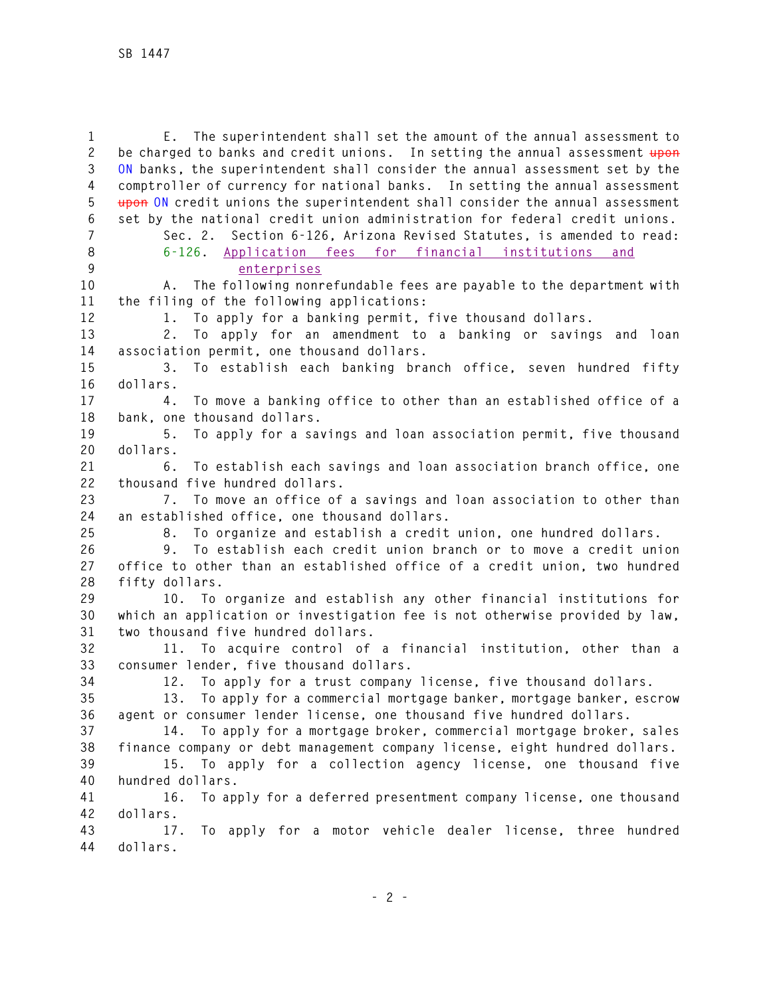**1 E. The superintendent shall set the amount of the annual assessment to 2 be charged to banks and credit unions. In setting the annual assessment upon 3 ON banks, the superintendent shall consider the annual assessment set by the 4 comptroller of currency for national banks. In setting the annual assessment 5 upon ON credit unions the superintendent shall consider the annual assessment 6 set by the national credit union administration for federal credit unions. 7 Sec. 2. Section 6-126, Arizona Revised Statutes, is amended to read: 8 6-126. Application fees for financial institutions and 9 enterprises 10 A. The following nonrefundable fees are payable to the department with 11 the filing of the following applications: 12 1. To apply for a banking permit, five thousand dollars. 13 2. To apply for an amendment to a banking or savings and loan 14 association permit, one thousand dollars. 15 3. To establish each banking branch office, seven hundred fifty 16 dollars. 17 4. To move a banking office to other than an established office of a 18 bank, one thousand dollars. 19 5. To apply for a savings and loan association permit, five thousand 20 dollars. 21 6. To establish each savings and loan association branch office, one 22 thousand five hundred dollars. 23 7. To move an office of a savings and loan association to other than 24 an established office, one thousand dollars. 25 8. To organize and establish a credit union, one hundred dollars. 26 9. To establish each credit union branch or to move a credit union 27 office to other than an established office of a credit union, two hundred 28 fifty dollars. 29 10. To organize and establish any other financial institutions for 30 which an application or investigation fee is not otherwise provided by law, 31 two thousand five hundred dollars. 32 11. To acquire control of a financial institution, other than a 33 consumer lender, five thousand dollars. 34 12. To apply for a trust company license, five thousand dollars. 35 13. To apply for a commercial mortgage banker, mortgage banker, escrow 36 agent or consumer lender license, one thousand five hundred dollars. 37 14. To apply for a mortgage broker, commercial mortgage broker, sales 38 finance company or debt management company license, eight hundred dollars. 39 15. To apply for a collection agency license, one thousand five 40 hundred dollars. 41 16. To apply for a deferred presentment company license, one thousand 42 dollars. 43 17. To apply for a motor vehicle dealer license, three hundred 44 dollars.**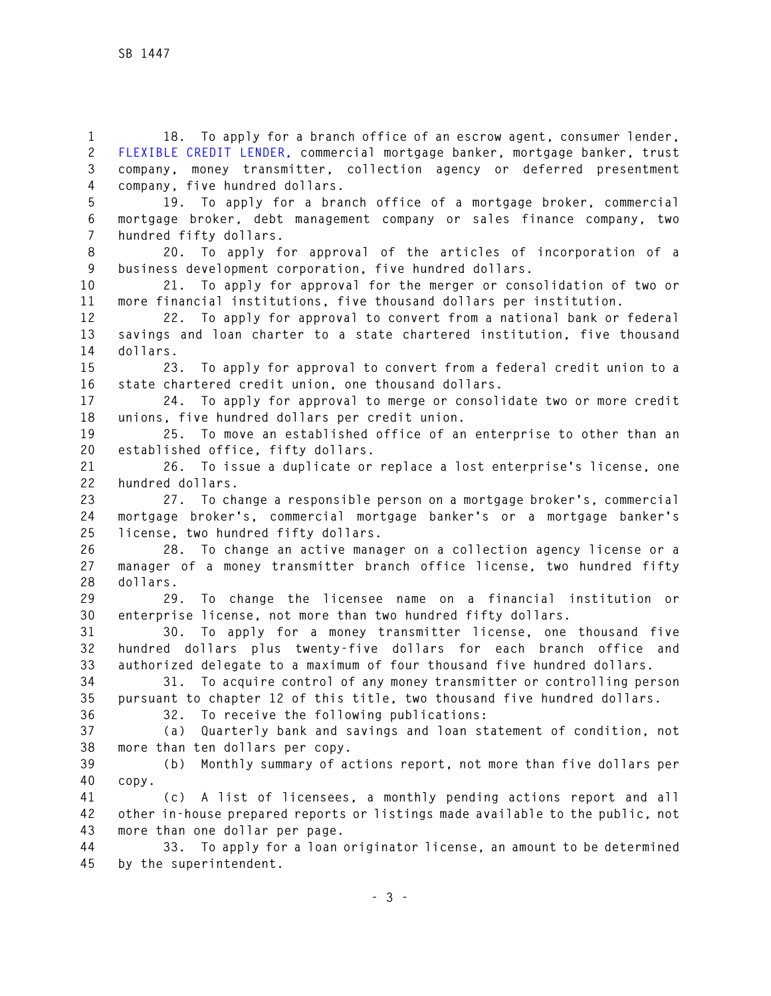**1 18. To apply for a branch office of an escrow agent, consumer lender, 2 FLEXIBLE CREDIT LENDER, commercial mortgage banker, mortgage banker, trust 3 company, money transmitter, collection agency or deferred presentment 4 company, five hundred dollars.** 

**5 19. To apply for a branch office of a mortgage broker, commercial 6 mortgage broker, debt management company or sales finance company, two 7 hundred fifty dollars.** 

**8 20. To apply for approval of the articles of incorporation of a 9 business development corporation, five hundred dollars.** 

**10 21. To apply for approval for the merger or consolidation of two or 11 more financial institutions, five thousand dollars per institution.** 

**12 22. To apply for approval to convert from a national bank or federal 13 savings and loan charter to a state chartered institution, five thousand 14 dollars.** 

**15 23. To apply for approval to convert from a federal credit union to a 16 state chartered credit union, one thousand dollars.** 

**17 24. To apply for approval to merge or consolidate two or more credit 18 unions, five hundred dollars per credit union.** 

**19 25. To move an established office of an enterprise to other than an 20 established office, fifty dollars.** 

**21 26. To issue a duplicate or replace a lost enterprise's license, one 22 hundred dollars.** 

**23 27. To change a responsible person on a mortgage broker's, commercial 24 mortgage broker's, commercial mortgage banker's or a mortgage banker's 25 license, two hundred fifty dollars.** 

**26 28. To change an active manager on a collection agency license or a 27 manager of a money transmitter branch office license, two hundred fifty 28 dollars.** 

**29 29. To change the licensee name on a financial institution or 30 enterprise license, not more than two hundred fifty dollars.** 

**31 30. To apply for a money transmitter license, one thousand five 32 hundred dollars plus twenty-five dollars for each branch office and 33 authorized delegate to a maximum of four thousand five hundred dollars.** 

**34 31. To acquire control of any money transmitter or controlling person 35 pursuant to chapter 12 of this title, two thousand five hundred dollars.** 

**36 32. To receive the following publications:** 

**37 (a) Quarterly bank and savings and loan statement of condition, not 38 more than ten dollars per copy.** 

**39 (b) Monthly summary of actions report, not more than five dollars per 40 copy.** 

**41 (c) A list of licensees, a monthly pending actions report and all 42 other in-house prepared reports or listings made available to the public, not 43 more than one dollar per page.** 

**44 33. To apply for a loan originator license, an amount to be determined 45 by the superintendent.**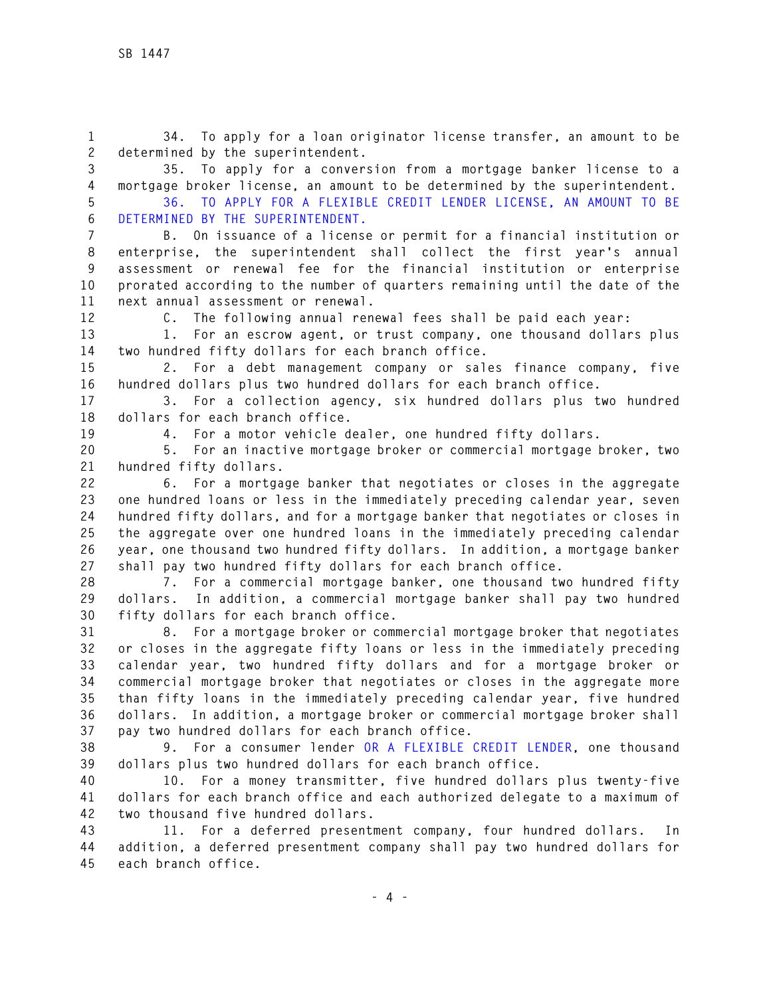**1 34. To apply for a loan originator license transfer, an amount to be 2 determined by the superintendent.** 

**3 35. To apply for a conversion from a mortgage banker license to a 4 mortgage broker license, an amount to be determined by the superintendent.** 

**5 36. TO APPLY FOR A FLEXIBLE CREDIT LENDER LICENSE, AN AMOUNT TO BE 6 DETERMINED BY THE SUPERINTENDENT.** 

**7 B. On issuance of a license or permit for a financial institution or 8 enterprise, the superintendent shall collect the first year's annual 9 assessment or renewal fee for the financial institution or enterprise 10 prorated according to the number of quarters remaining until the date of the 11 next annual assessment or renewal.** 

**12 C. The following annual renewal fees shall be paid each year:** 

**13 1. For an escrow agent, or trust company, one thousand dollars plus 14 two hundred fifty dollars for each branch office.** 

**15 2. For a debt management company or sales finance company, five 16 hundred dollars plus two hundred dollars for each branch office.** 

**17 3. For a collection agency, six hundred dollars plus two hundred 18 dollars for each branch office.** 

**19 4. For a motor vehicle dealer, one hundred fifty dollars.** 

**20 5. For an inactive mortgage broker or commercial mortgage broker, two 21 hundred fifty dollars.** 

**22 6. For a mortgage banker that negotiates or closes in the aggregate 23 one hundred loans or less in the immediately preceding calendar year, seven 24 hundred fifty dollars, and for a mortgage banker that negotiates or closes in 25 the aggregate over one hundred loans in the immediately preceding calendar 26 year, one thousand two hundred fifty dollars. In addition, a mortgage banker 27 shall pay two hundred fifty dollars for each branch office.** 

**28 7. For a commercial mortgage banker, one thousand two hundred fifty 29 dollars. In addition, a commercial mortgage banker shall pay two hundred 30 fifty dollars for each branch office.** 

**31 8. For a mortgage broker or commercial mortgage broker that negotiates 32 or closes in the aggregate fifty loans or less in the immediately preceding 33 calendar year, two hundred fifty dollars and for a mortgage broker or 34 commercial mortgage broker that negotiates or closes in the aggregate more 35 than fifty loans in the immediately preceding calendar year, five hundred 36 dollars. In addition, a mortgage broker or commercial mortgage broker shall 37 pay two hundred dollars for each branch office.** 

**38 9. For a consumer lender OR A FLEXIBLE CREDIT LENDER, one thousand 39 dollars plus two hundred dollars for each branch office.** 

**40 10. For a money transmitter, five hundred dollars plus twenty-five 41 dollars for each branch office and each authorized delegate to a maximum of 42 two thousand five hundred dollars.** 

**43 11. For a deferred presentment company, four hundred dollars. In 44 addition, a deferred presentment company shall pay two hundred dollars for 45 each branch office.**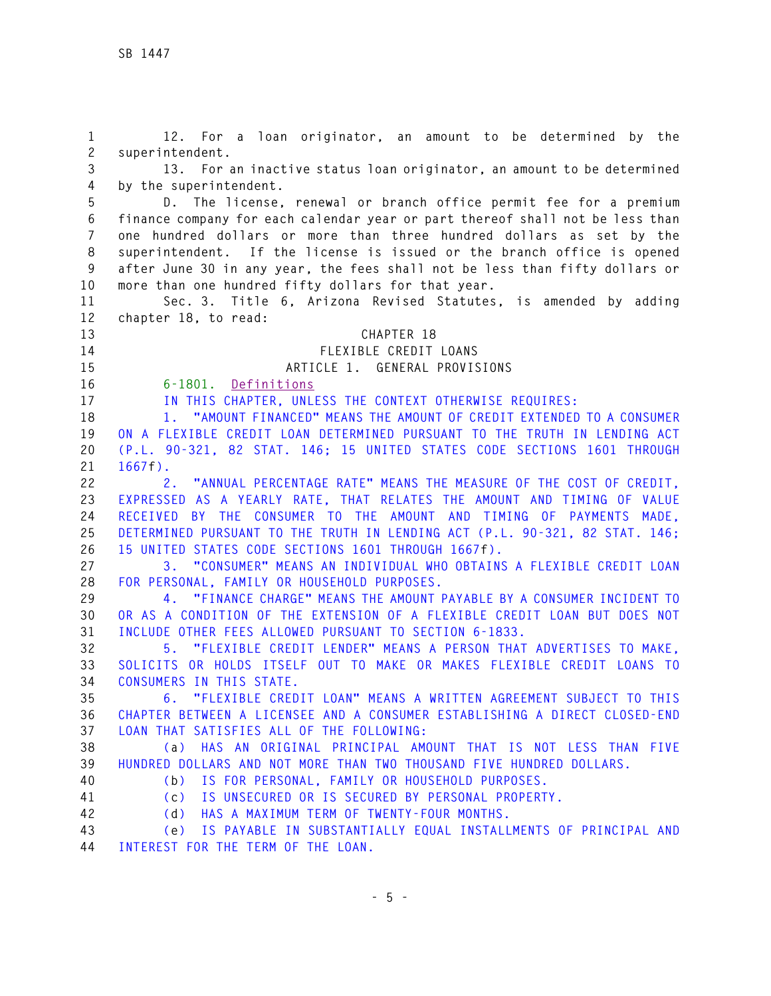**1 12. For a loan originator, an amount to be determined by the 2 superintendent. 3 13. For an inactive status loan originator, an amount to be determined 4 by the superintendent. 5 D. The license, renewal or branch office permit fee for a premium 6 finance company for each calendar year or part thereof shall not be less than 7 one hundred dollars or more than three hundred dollars as set by the 8 superintendent. If the license is issued or the branch office is opened 9 after June 30 in any year, the fees shall not be less than fifty dollars or 10 more than one hundred fifty dollars for that year. 11 Sec. 3. Title 6, Arizona Revised Statutes, is amended by adding 12 chapter 18, to read: 13 CHAPTER 18 14 FLEXIBLE CREDIT LOANS 15 ARTICLE 1. GENERAL PROVISIONS 16 6-1801. Definitions 17 IN THIS CHAPTER, UNLESS THE CONTEXT OTHERWISE REQUIRES: 18 1. "AMOUNT FINANCED" MEANS THE AMOUNT OF CREDIT EXTENDED TO A CONSUMER 19 ON A FLEXIBLE CREDIT LOAN DETERMINED PURSUANT TO THE TRUTH IN LENDING ACT 20 (P.L. 90-321, 82 STAT. 146; 15 UNITED STATES CODE SECTIONS 1601 THROUGH 21 1667f). 22 2. "ANNUAL PERCENTAGE RATE" MEANS THE MEASURE OF THE COST OF CREDIT, 23 EXPRESSED AS A YEARLY RATE, THAT RELATES THE AMOUNT AND TIMING OF VALUE 24 RECEIVED BY THE CONSUMER TO THE AMOUNT AND TIMING OF PAYMENTS MADE, 25 DETERMINED PURSUANT TO THE TRUTH IN LENDING ACT (P.L. 90-321, 82 STAT. 146; 26 15 UNITED STATES CODE SECTIONS 1601 THROUGH 1667f). 27 3. "CONSUMER" MEANS AN INDIVIDUAL WHO OBTAINS A FLEXIBLE CREDIT LOAN 28 FOR PERSONAL, FAMILY OR HOUSEHOLD PURPOSES. 29 4. "FINANCE CHARGE" MEANS THE AMOUNT PAYABLE BY A CONSUMER INCIDENT TO 30 OR AS A CONDITION OF THE EXTENSION OF A FLEXIBLE CREDIT LOAN BUT DOES NOT 31 INCLUDE OTHER FEES ALLOWED PURSUANT TO SECTION 6-1833. 32 5. "FLEXIBLE CREDIT LENDER" MEANS A PERSON THAT ADVERTISES TO MAKE, 33 SOLICITS OR HOLDS ITSELF OUT TO MAKE OR MAKES FLEXIBLE CREDIT LOANS TO 34 CONSUMERS IN THIS STATE. 35 6. "FLEXIBLE CREDIT LOAN" MEANS A WRITTEN AGREEMENT SUBJECT TO THIS 36 CHAPTER BETWEEN A LICENSEE AND A CONSUMER ESTABLISHING A DIRECT CLOSED-END 37 LOAN THAT SATISFIES ALL OF THE FOLLOWING: 38 (a) HAS AN ORIGINAL PRINCIPAL AMOUNT THAT IS NOT LESS THAN FIVE 39 HUNDRED DOLLARS AND NOT MORE THAN TWO THOUSAND FIVE HUNDRED DOLLARS. 40 (b) IS FOR PERSONAL, FAMILY OR HOUSEHOLD PURPOSES. 41 (c) IS UNSECURED OR IS SECURED BY PERSONAL PROPERTY. 42 (d) HAS A MAXIMUM TERM OF TWENTY-FOUR MONTHS. 43 (e) IS PAYABLE IN SUBSTANTIALLY EQUAL INSTALLMENTS OF PRINCIPAL AND** 

**44 INTEREST FOR THE TERM OF THE LOAN.**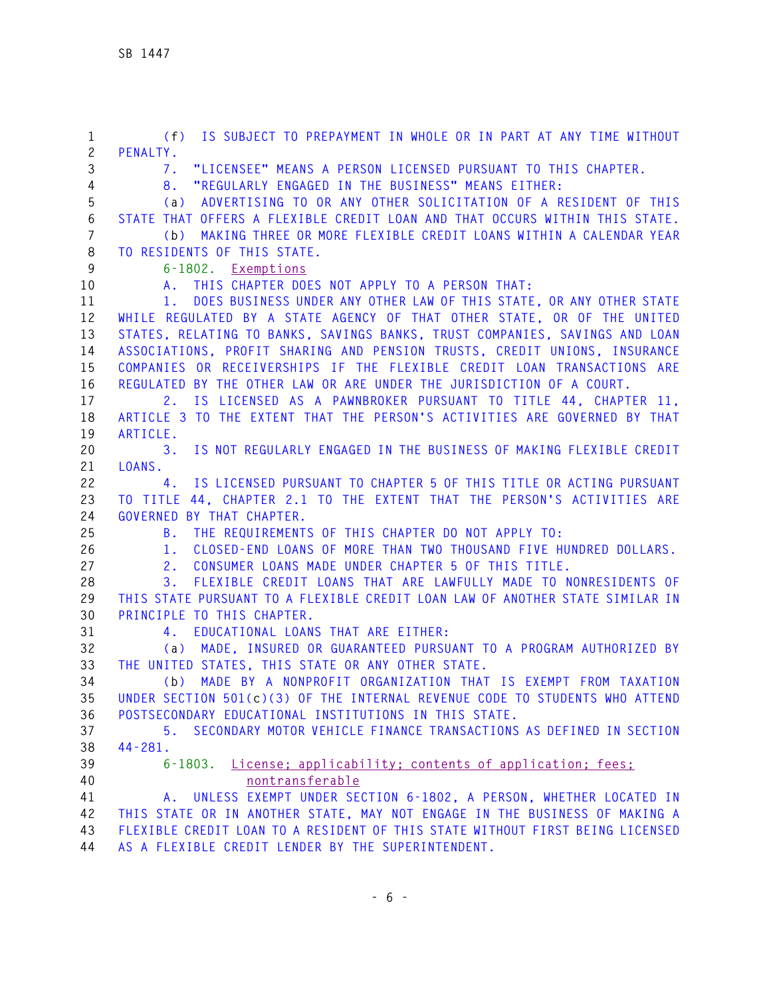**1 (f) IS SUBJECT TO PREPAYMENT IN WHOLE OR IN PART AT ANY TIME WITHOUT 2 PENALTY. 3 7. "LICENSEE" MEANS A PERSON LICENSED PURSUANT TO THIS CHAPTER. 4 8. "REGULARLY ENGAGED IN THE BUSINESS" MEANS EITHER: 5 (a) ADVERTISING TO OR ANY OTHER SOLICITATION OF A RESIDENT OF THIS 6 STATE THAT OFFERS A FLEXIBLE CREDIT LOAN AND THAT OCCURS WITHIN THIS STATE. 7 (b) MAKING THREE OR MORE FLEXIBLE CREDIT LOANS WITHIN A CALENDAR YEAR 8 TO RESIDENTS OF THIS STATE. 9 6-1802. Exemptions 10 A. THIS CHAPTER DOES NOT APPLY TO A PERSON THAT: 11 1. DOES BUSINESS UNDER ANY OTHER LAW OF THIS STATE, OR ANY OTHER STATE 12 WHILE REGULATED BY A STATE AGENCY OF THAT OTHER STATE, OR OF THE UNITED 13 STATES, RELATING TO BANKS, SAVINGS BANKS, TRUST COMPANIES, SAVINGS AND LOAN 14 ASSOCIATIONS, PROFIT SHARING AND PENSION TRUSTS, CREDIT UNIONS, INSURANCE 15 COMPANIES OR RECEIVERSHIPS IF THE FLEXIBLE CREDIT LOAN TRANSACTIONS ARE 16 REGULATED BY THE OTHER LAW OR ARE UNDER THE JURISDICTION OF A COURT. 17 2. IS LICENSED AS A PAWNBROKER PURSUANT TO TITLE 44, CHAPTER 11, 18 ARTICLE 3 TO THE EXTENT THAT THE PERSON'S ACTIVITIES ARE GOVERNED BY THAT 19 ARTICLE. 20 3. IS NOT REGULARLY ENGAGED IN THE BUSINESS OF MAKING FLEXIBLE CREDIT 21 LOANS. 22 4. IS LICENSED PURSUANT TO CHAPTER 5 OF THIS TITLE OR ACTING PURSUANT 23 TO TITLE 44, CHAPTER 2.1 TO THE EXTENT THAT THE PERSON'S ACTIVITIES ARE 24 GOVERNED BY THAT CHAPTER. 25 B. THE REQUIREMENTS OF THIS CHAPTER DO NOT APPLY TO: 26 1. CLOSED-END LOANS OF MORE THAN TWO THOUSAND FIVE HUNDRED DOLLARS. 27 2. CONSUMER LOANS MADE UNDER CHAPTER 5 OF THIS TITLE. 28 3. FLEXIBLE CREDIT LOANS THAT ARE LAWFULLY MADE TO NONRESIDENTS OF 29 THIS STATE PURSUANT TO A FLEXIBLE CREDIT LOAN LAW OF ANOTHER STATE SIMILAR IN 30 PRINCIPLE TO THIS CHAPTER. 31 4. EDUCATIONAL LOANS THAT ARE EITHER: 32 (a) MADE, INSURED OR GUARANTEED PURSUANT TO A PROGRAM AUTHORIZED BY 33 THE UNITED STATES, THIS STATE OR ANY OTHER STATE. 34 (b) MADE BY A NONPROFIT ORGANIZATION THAT IS EXEMPT FROM TAXATION 35 UNDER SECTION 501(c)(3) OF THE INTERNAL REVENUE CODE TO STUDENTS WHO ATTEND 36 POSTSECONDARY EDUCATIONAL INSTITUTIONS IN THIS STATE. 37 5. SECONDARY MOTOR VEHICLE FINANCE TRANSACTIONS AS DEFINED IN SECTION 38 44-281. 39 6-1803. License; applicability; contents of application; fees; 40 nontransferable 41 A. UNLESS EXEMPT UNDER SECTION 6-1802, A PERSON, WHETHER LOCATED IN 42 THIS STATE OR IN ANOTHER STATE, MAY NOT ENGAGE IN THE BUSINESS OF MAKING A 43 FLEXIBLE CREDIT LOAN TO A RESIDENT OF THIS STATE WITHOUT FIRST BEING LICENSED 44 AS A FLEXIBLE CREDIT LENDER BY THE SUPERINTENDENT.**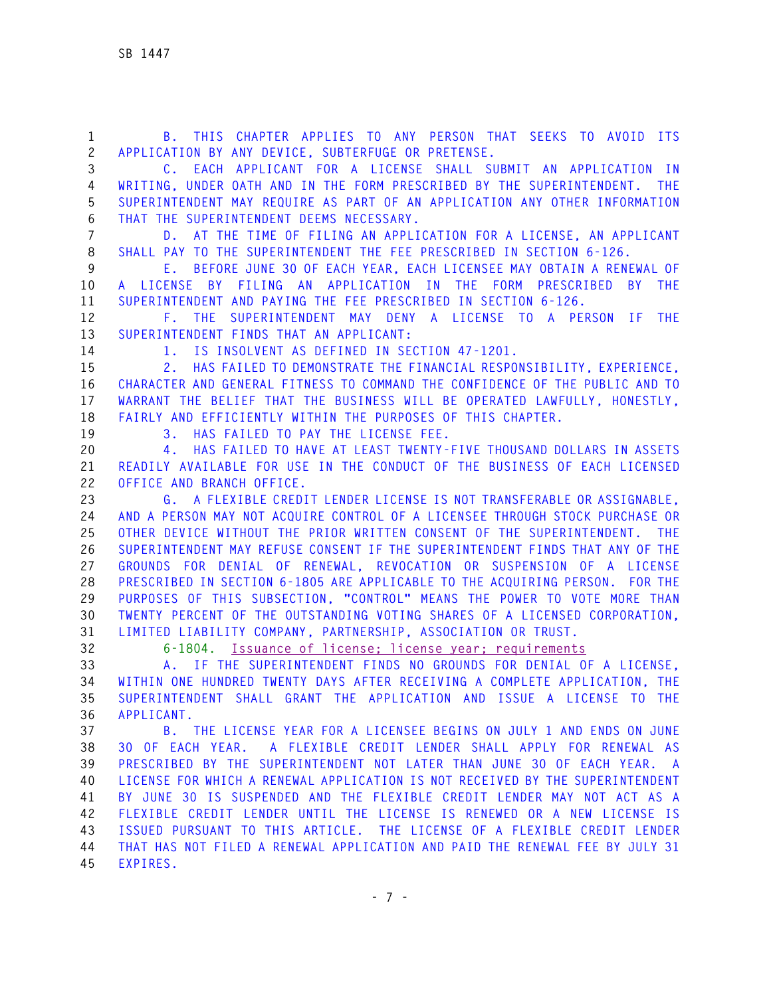| $\mathbf{1}$<br>$\mathbf{2}$ | B. THIS CHAPTER APPLIES TO ANY PERSON THAT SEEKS TO AVOID ITS<br>APPLICATION BY ANY DEVICE, SUBTERFUGE OR PRETENSE.                                    |
|------------------------------|--------------------------------------------------------------------------------------------------------------------------------------------------------|
| 3                            | C. EACH APPLICANT FOR A LICENSE SHALL SUBMIT AN APPLICATION IN                                                                                         |
| 4                            | WRITING, UNDER OATH AND IN THE FORM PRESCRIBED BY THE SUPERINTENDENT. THE                                                                              |
| 5<br>6                       | SUPERINTENDENT MAY REQUIRE AS PART OF AN APPLICATION ANY OTHER INFORMATION<br>THAT THE SUPERINTENDENT DEEMS NECESSARY.                                 |
| $\overline{7}$               | D. AT THE TIME OF FILING AN APPLICATION FOR A LICENSE, AN APPLICANT                                                                                    |
| 8                            | SHALL PAY TO THE SUPERINTENDENT THE FEE PRESCRIBED IN SECTION 6-126.                                                                                   |
| 9                            | E. BEFORE JUNE 30 OF EACH YEAR, EACH LICENSEE MAY OBTAIN A RENEWAL OF                                                                                  |
| 10                           | A LICENSE BY FILING AN APPLICATION IN THE FORM PRESCRIBED<br>BY THE                                                                                    |
| 11                           | SUPERINTENDENT AND PAYING THE FEE PRESCRIBED IN SECTION 6-126.                                                                                         |
| 12                           | F. THE<br>SUPERINTENDENT MAY DENY A LICENSE TO A PERSON IF<br><b>THE</b>                                                                               |
| 13                           | SUPERINTENDENT FINDS THAT AN APPLICANT:                                                                                                                |
| 14                           | 1. IS INSOLVENT AS DEFINED IN SECTION 47-1201.                                                                                                         |
| 15                           | HAS FAILED TO DEMONSTRATE THE FINANCIAL RESPONSIBILITY, EXPERIENCE,<br>2.                                                                              |
| 16                           | CHARACTER AND GENERAL FITNESS TO COMMAND THE CONFIDENCE OF THE PUBLIC AND TO                                                                           |
| 17                           | WARRANT THE BELIEF THAT THE BUSINESS WILL BE OPERATED LAWFULLY, HONESTLY,                                                                              |
| 18                           | FAIRLY AND EFFICIENTLY WITHIN THE PURPOSES OF THIS CHAPTER.                                                                                            |
| 19                           | 3. HAS FAILED TO PAY THE LICENSE FEE.                                                                                                                  |
| 20                           | HAS FAILED TO HAVE AT LEAST TWENTY-FIVE THOUSAND DOLLARS IN ASSETS<br>4.                                                                               |
| 21                           | READILY AVAILABLE FOR USE IN THE CONDUCT OF THE BUSINESS OF EACH LICENSED                                                                              |
| 22                           | OFFICE AND BRANCH OFFICE.                                                                                                                              |
| 23                           | G. A FLEXIBLE CREDIT LENDER LICENSE IS NOT TRANSFERABLE OR ASSIGNABLE,<br>AND A PERSON MAY NOT ACQUIRE CONTROL OF A LICENSEE THROUGH STOCK PURCHASE OR |
| 24<br>25                     | OTHER DEVICE WITHOUT THE PRIOR WRITTEN CONSENT OF THE SUPERINTENDENT.<br>- THE                                                                         |
| 26                           | SUPERINTENDENT MAY REFUSE CONSENT IF THE SUPERINTENDENT FINDS THAT ANY OF THE                                                                          |
| 27                           | GROUNDS FOR DENIAL OF RENEWAL, REVOCATION OR SUSPENSION OF A LICENSE                                                                                   |
| 28                           | PRESCRIBED IN SECTION 6-1805 ARE APPLICABLE TO THE ACQUIRING PERSON. FOR THE                                                                           |
| 29                           | PURPOSES OF THIS SUBSECTION, "CONTROL" MEANS THE POWER TO VOTE MORE THAN                                                                               |
| 30                           | TWENTY PERCENT OF THE OUTSTANDING VOTING SHARES OF A LICENSED CORPORATION,                                                                             |
| 31                           | LIMITED LIABILITY COMPANY, PARTNERSHIP, ASSOCIATION OR TRUST.                                                                                          |
| 32                           | 6-1804. Issuance of license: license year: requirements                                                                                                |
| 33                           | A. IF THE SUPERINTENDENT FINDS NO GROUNDS FOR DENIAL OF A LICENSE,                                                                                     |
| 34                           | WITHIN ONE HUNDRED TWENTY DAYS AFTER RECEIVING A COMPLETE APPLICATION, THE                                                                             |
| 35                           | SUPERINTENDENT SHALL GRANT THE APPLICATION AND ISSUE A LICENSE TO THE                                                                                  |
| 36                           | APPLICANT.                                                                                                                                             |
| 37                           | B. THE LICENSE YEAR FOR A LICENSEE BEGINS ON JULY 1 AND ENDS ON JUNE                                                                                   |
| 38                           | A FLEXIBLE CREDIT LENDER SHALL APPLY FOR RENEWAL AS<br>30 OF EACH YEAR.                                                                                |
| 39                           | PRESCRIBED BY THE SUPERINTENDENT NOT LATER THAN JUNE 30 OF EACH YEAR. A                                                                                |
| 40                           | LICENSE FOR WHICH A RENEWAL APPLICATION IS NOT RECEIVED BY THE SUPERINTENDENT                                                                          |
| 41                           | BY JUNE 30 IS SUSPENDED AND THE FLEXIBLE CREDIT LENDER MAY NOT ACT AS A                                                                                |
| 42<br>43                     | FLEXIBLE CREDIT LENDER UNTIL THE LICENSE IS RENEWED OR A NEW LICENSE IS<br>ISSUED PURSUANT TO THIS ARTICLE. THE LICENSE OF A FLEXIBLE CREDIT LENDER    |
| 44                           | THAT HAS NOT FILED A RENEWAL APPLICATION AND PAID THE RENEWAL FEE BY JULY 31                                                                           |
| 45                           | EXPIRES.                                                                                                                                               |
|                              |                                                                                                                                                        |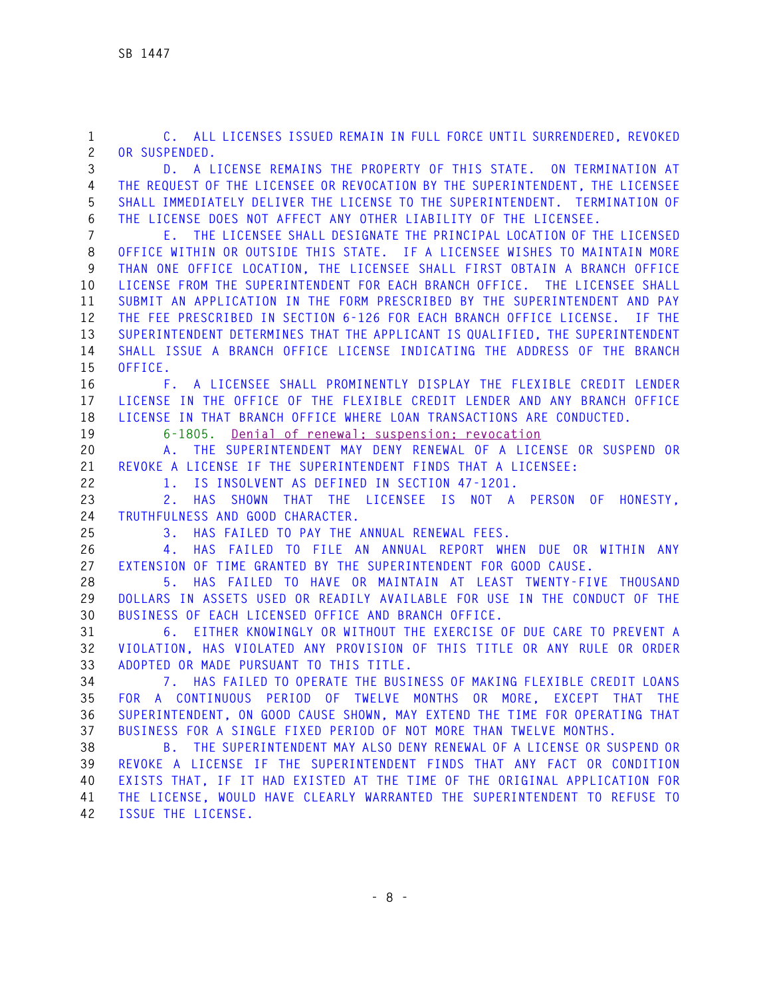**42 ISSUE THE LICENSE.** 

**1 C. ALL LICENSES ISSUED REMAIN IN FULL FORCE UNTIL SURRENDERED, REVOKED 2 OR SUSPENDED. 3 D. A LICENSE REMAINS THE PROPERTY OF THIS STATE. ON TERMINATION AT 4 THE REQUEST OF THE LICENSEE OR REVOCATION BY THE SUPERINTENDENT, THE LICENSEE 5 SHALL IMMEDIATELY DELIVER THE LICENSE TO THE SUPERINTENDENT. TERMINATION OF 6 THE LICENSE DOES NOT AFFECT ANY OTHER LIABILITY OF THE LICENSEE. 7 E. THE LICENSEE SHALL DESIGNATE THE PRINCIPAL LOCATION OF THE LICENSED 8 OFFICE WITHIN OR OUTSIDE THIS STATE. IF A LICENSEE WISHES TO MAINTAIN MORE 9 THAN ONE OFFICE LOCATION, THE LICENSEE SHALL FIRST OBTAIN A BRANCH OFFICE 10 LICENSE FROM THE SUPERINTENDENT FOR EACH BRANCH OFFICE. THE LICENSEE SHALL 11 SUBMIT AN APPLICATION IN THE FORM PRESCRIBED BY THE SUPERINTENDENT AND PAY 12 THE FEE PRESCRIBED IN SECTION 6-126 FOR EACH BRANCH OFFICE LICENSE. IF THE 13 SUPERINTENDENT DETERMINES THAT THE APPLICANT IS QUALIFIED, THE SUPERINTENDENT 14 SHALL ISSUE A BRANCH OFFICE LICENSE INDICATING THE ADDRESS OF THE BRANCH 15 OFFICE. 16 F. A LICENSEE SHALL PROMINENTLY DISPLAY THE FLEXIBLE CREDIT LENDER 17 LICENSE IN THE OFFICE OF THE FLEXIBLE CREDIT LENDER AND ANY BRANCH OFFICE 18 LICENSE IN THAT BRANCH OFFICE WHERE LOAN TRANSACTIONS ARE CONDUCTED. 19 6-1805. Denial of renewal; suspension; revocation 20 A. THE SUPERINTENDENT MAY DENY RENEWAL OF A LICENSE OR SUSPEND OR 21 REVOKE A LICENSE IF THE SUPERINTENDENT FINDS THAT A LICENSEE: 22 1. IS INSOLVENT AS DEFINED IN SECTION 47-1201. 23 2. HAS SHOWN THAT THE LICENSEE IS NOT A PERSON OF HONESTY, 24 TRUTHFULNESS AND GOOD CHARACTER. 25 3. HAS FAILED TO PAY THE ANNUAL RENEWAL FEES. 26 4. HAS FAILED TO FILE AN ANNUAL REPORT WHEN DUE OR WITHIN ANY 27 EXTENSION OF TIME GRANTED BY THE SUPERINTENDENT FOR GOOD CAUSE. 28 5. HAS FAILED TO HAVE OR MAINTAIN AT LEAST TWENTY-FIVE THOUSAND 29 DOLLARS IN ASSETS USED OR READILY AVAILABLE FOR USE IN THE CONDUCT OF THE 30 BUSINESS OF EACH LICENSED OFFICE AND BRANCH OFFICE. 31 6. EITHER KNOWINGLY OR WITHOUT THE EXERCISE OF DUE CARE TO PREVENT A 32 VIOLATION, HAS VIOLATED ANY PROVISION OF THIS TITLE OR ANY RULE OR ORDER 33 ADOPTED OR MADE PURSUANT TO THIS TITLE. 34 7. HAS FAILED TO OPERATE THE BUSINESS OF MAKING FLEXIBLE CREDIT LOANS 35 FOR A CONTINUOUS PERIOD OF TWELVE MONTHS OR MORE, EXCEPT THAT THE 36 SUPERINTENDENT, ON GOOD CAUSE SHOWN, MAY EXTEND THE TIME FOR OPERATING THAT 37 BUSINESS FOR A SINGLE FIXED PERIOD OF NOT MORE THAN TWELVE MONTHS. 38 B. THE SUPERINTENDENT MAY ALSO DENY RENEWAL OF A LICENSE OR SUSPEND OR 39 REVOKE A LICENSE IF THE SUPERINTENDENT FINDS THAT ANY FACT OR CONDITION 40 EXISTS THAT, IF IT HAD EXISTED AT THE TIME OF THE ORIGINAL APPLICATION FOR** 

**41 THE LICENSE, WOULD HAVE CLEARLY WARRANTED THE SUPERINTENDENT TO REFUSE TO**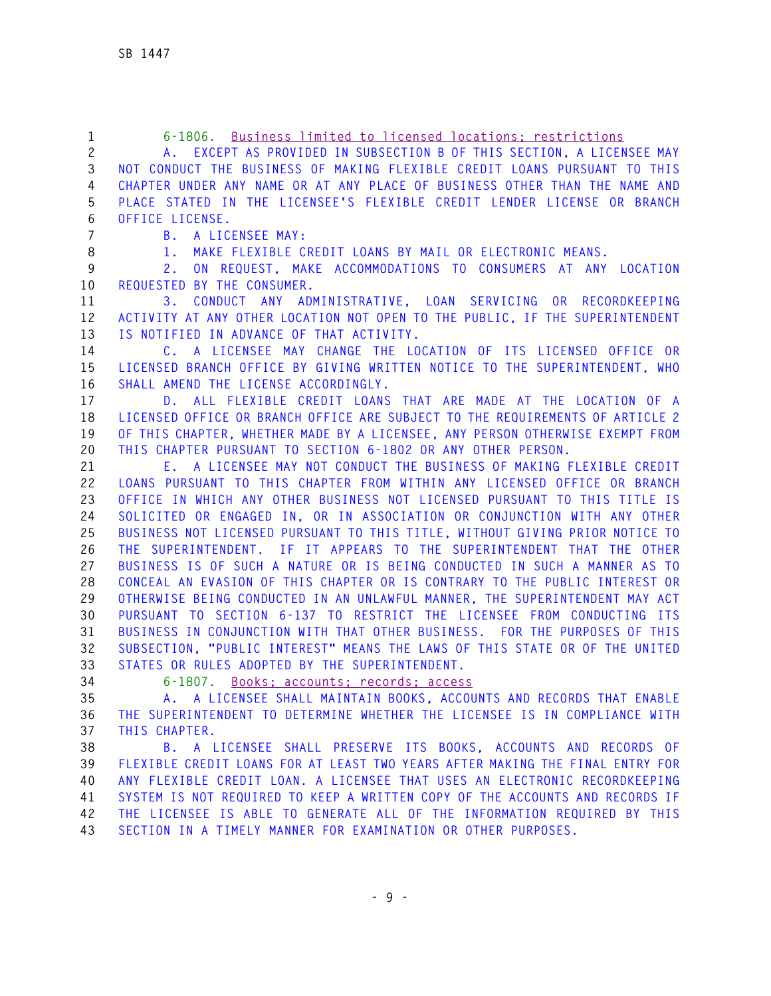| $\mathbf{1}$   | Business limited to licensed locations; restrictions<br>$6 - 1806$ .                        |
|----------------|---------------------------------------------------------------------------------------------|
| $\overline{c}$ | A. EXCEPT AS PROVIDED IN SUBSECTION B OF THIS SECTION, A LICENSEE MAY                       |
| 3              | NOT CONDUCT THE BUSINESS OF MAKING FLEXIBLE CREDIT LOANS PURSUANT TO THIS                   |
| 4              | CHAPTER UNDER ANY NAME OR AT ANY PLACE OF BUSINESS OTHER THAN THE NAME AND                  |
| 5              | PLACE STATED IN THE LICENSEE'S FLEXIBLE CREDIT LENDER LICENSE OR BRANCH                     |
| 6              | OFFICE LICENSE.                                                                             |
| $\overline{7}$ | A LICENSEE MAY:<br>B.                                                                       |
| 8              | MAKE FLEXIBLE CREDIT LOANS BY MAIL OR ELECTRONIC MEANS.<br>1.                               |
| 9              | ON REQUEST, MAKE ACCOMMODATIONS TO CONSUMERS AT ANY LOCATION<br>2.                          |
| 10             | REQUESTED BY THE CONSUMER.                                                                  |
| 11             | CONDUCT ANY ADMINISTRATIVE, LOAN SERVICING OR RECORDKEEPING<br>3.                           |
| 12             | ACTIVITY AT ANY OTHER LOCATION NOT OPEN TO THE PUBLIC, IF THE SUPERINTENDENT                |
| 13             | IS NOTIFIED IN ADVANCE OF THAT ACTIVITY.                                                    |
| 14             | C. A LICENSEE MAY CHANGE THE LOCATION OF ITS LICENSED OFFICE OR                             |
| 15             | LICENSED BRANCH OFFICE BY GIVING WRITTEN NOTICE TO THE SUPERINTENDENT, WHO                  |
| 16             | SHALL AMEND THE LICENSE ACCORDINGLY.                                                        |
| 17             | ALL FLEXIBLE CREDIT LOANS THAT ARE MADE AT THE LOCATION OF A<br>D.                          |
| 18             | LICENSED OFFICE OR BRANCH OFFICE ARE SUBJECT TO THE REQUIREMENTS OF ARTICLE 2               |
| 19             | OF THIS CHAPTER, WHETHER MADE BY A LICENSEE, ANY PERSON OTHERWISE EXEMPT FROM               |
| 20             | THIS CHAPTER PURSUANT TO SECTION 6-1802 OR ANY OTHER PERSON.                                |
| 21             | E. A LICENSEE MAY NOT CONDUCT THE BUSINESS OF MAKING FLEXIBLE CREDIT                        |
| 22             | LOANS PURSUANT TO THIS CHAPTER FROM WITHIN ANY LICENSED OFFICE OR BRANCH                    |
| 23             | OFFICE IN WHICH ANY OTHER BUSINESS NOT LICENSED PURSUANT TO THIS TITLE IS                   |
| 24             | SOLICITED OR ENGAGED IN, OR IN ASSOCIATION OR CONJUNCTION WITH ANY OTHER                    |
| 25             | BUSINESS NOT LICENSED PURSUANT TO THIS TITLE, WITHOUT GIVING PRIOR NOTICE TO                |
| 26             | THE SUPERINTENDENT. IF IT APPEARS TO THE SUPERINTENDENT THAT THE OTHER                      |
| 27             | BUSINESS IS OF SUCH A NATURE OR IS BEING CONDUCTED IN SUCH A MANNER AS TO                   |
| 28             | CONCEAL AN EVASION OF THIS CHAPTER OR IS CONTRARY TO THE PUBLIC INTEREST OR                 |
| 29             | OTHERWISE BEING CONDUCTED IN AN UNLAWFUL MANNER, THE SUPERINTENDENT MAY ACT                 |
| 30             | PURSUANT TO SECTION 6-137 TO RESTRICT THE LICENSEE FROM CONDUCTING ITS                      |
| 31             | BUSINESS IN CONJUNCTION WITH THAT OTHER BUSINESS. FOR THE PURPOSES OF THIS                  |
| 32             | SUBSECTION, "PUBLIC INTEREST" MEANS THE LAWS OF THIS STATE OR OF THE UNITED                 |
| 33             | STATES OR RULES ADOPTED BY THE SUPERINTENDENT.                                              |
| 34             | 6-1807. Books: accounts: records: access                                                    |
| 35             | A. A LICENSEE SHALL MAINTAIN BOOKS, ACCOUNTS AND RECORDS THAT ENABLE                        |
| 36<br>37       | THE SUPERINTENDENT TO DETERMINE WHETHER THE LICENSEE IS IN COMPLIANCE WITH<br>THIS CHAPTER. |
| 38             | B. A LICENSEE SHALL PRESERVE ITS BOOKS, ACCOUNTS AND RECORDS OF                             |
| 39             | FLEXIBLE CREDIT LOANS FOR AT LEAST TWO YEARS AFTER MAKING THE FINAL ENTRY FOR               |
| 40             | ANY FLEXIBLE CREDIT LOAN. A LICENSEE THAT USES AN ELECTRONIC RECORDKEEPING                  |
| 41             | SYSTEM IS NOT REQUIRED TO KEEP A WRITTEN COPY OF THE ACCOUNTS AND RECORDS IF                |
| 42             | THE LICENSEE IS ABLE TO GENERATE ALL OF THE INFORMATION REQUIRED BY THIS                    |
| 43             | SECTION IN A TIMELY MANNER FOR EXAMINATION OR OTHER PURPOSES.                               |
|                |                                                                                             |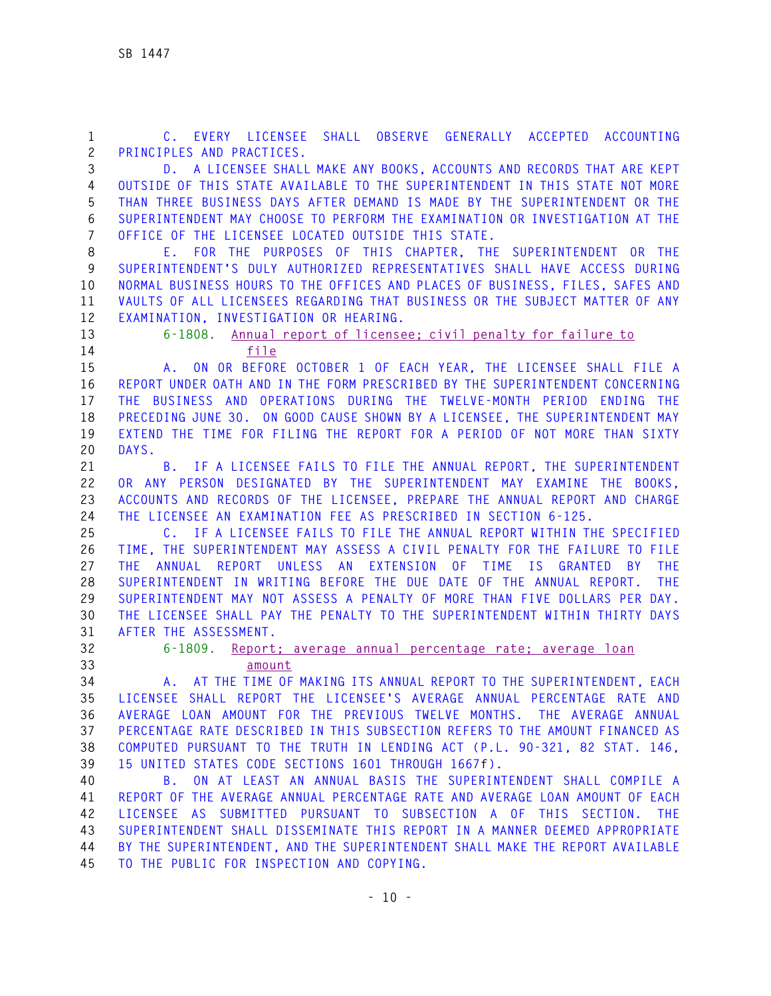| 1              | OBSERVE GENERALLY ACCEPTED ACCOUNTING<br>C. EVERY LICENSEE SHALL                                    |
|----------------|-----------------------------------------------------------------------------------------------------|
| $\mathbf{2}$   | PRINCIPLES AND PRACTICES.                                                                           |
| 3              | D. A LICENSEE SHALL MAKE ANY BOOKS, ACCOUNTS AND RECORDS THAT ARE KEPT                              |
| 4              | OUTSIDE OF THIS STATE AVAILABLE TO THE SUPERINTENDENT IN THIS STATE NOT MORE                        |
| 5              | THAN THREE BUSINESS DAYS AFTER DEMAND IS MADE BY THE SUPERINTENDENT OR THE                          |
| 6              | SUPERINTENDENT MAY CHOOSE TO PERFORM THE EXAMINATION OR INVESTIGATION AT THE                        |
| $\overline{7}$ | OFFICE OF THE LICENSEE LOCATED OUTSIDE THIS STATE.                                                  |
| 8              | E. FOR THE PURPOSES OF THIS CHAPTER, THE SUPERINTENDENT OR THE                                      |
| 9              | SUPERINTENDENT'S DULY AUTHORIZED REPRESENTATIVES SHALL HAVE ACCESS DURING                           |
| 10             | NORMAL BUSINESS HOURS TO THE OFFICES AND PLACES OF BUSINESS, FILES, SAFES AND                       |
| 11             | VAULTS OF ALL LICENSEES REGARDING THAT BUSINESS OR THE SUBJECT MATTER OF ANY                        |
| 12             | EXAMINATION, INVESTIGATION OR HEARING.                                                              |
| 13             | 6-1808. Annual report of licensee; civil penalty for failure to                                     |
| 14             | file                                                                                                |
| 15             | ON OR BEFORE OCTOBER 1 OF EACH YEAR, THE LICENSEE SHALL FILE A<br>$A_{\cdot}$                       |
| 16             | REPORT UNDER OATH AND IN THE FORM PRESCRIBED BY THE SUPERINTENDENT CONCERNING                       |
| 17             | THE BUSINESS AND OPERATIONS DURING THE TWELVE-MONTH PERIOD ENDING THE                               |
| 18             | PRECEDING JUNE 30. ON GOOD CAUSE SHOWN BY A LICENSEE, THE SUPERINTENDENT MAY                        |
| 19             | EXTEND THE TIME FOR FILING THE REPORT FOR A PERIOD OF NOT MORE THAN SIXTY                           |
| 20             | DAYS.                                                                                               |
| 21             | B. IF A LICENSEE FAILS TO FILE THE ANNUAL REPORT, THE SUPERINTENDENT                                |
| 22             | OR ANY PERSON DESIGNATED BY THE SUPERINTENDENT MAY EXAMINE THE BOOKS.                               |
| 23             | ACCOUNTS AND RECORDS OF THE LICENSEE, PREPARE THE ANNUAL REPORT AND CHARGE                          |
| 24             | THE LICENSEE AN EXAMINATION FEE AS PRESCRIBED IN SECTION 6-125.                                     |
|                | C. IF A LICENSEE FAILS TO FILE THE ANNUAL REPORT WITHIN THE SPECIFIED                               |
| 25             |                                                                                                     |
| 26             | TIME, THE SUPERINTENDENT MAY ASSESS A CIVIL PENALTY FOR THE FAILURE TO FILE                         |
| 27             | UNLESS AN<br>EXTENSION<br>OF TIME IS GRANTED<br>ANNUAL<br>REPORT<br><b>BY</b><br><b>THE</b><br>THF. |
| 28             | SUPERINTENDENT IN WRITING BEFORE THE DUE DATE OF THE ANNUAL REPORT.<br><b>THE</b>                   |
| 29             | SUPERINTENDENT MAY NOT ASSESS A PENALTY OF MORE THAN FIVE DOLLARS PER DAY.                          |
| 30             | THE LICENSEE SHALL PAY THE PENALTY TO THE SUPERINTENDENT WITHIN THIRTY DAYS                         |
| 31             | AFTER THE ASSESSMENT.                                                                               |
| 32             | $6 - 1809.$<br>Report: average annual percentage rate: average loan                                 |
| 33             | amount                                                                                              |
| 34             | A. AT THE TIME OF MAKING ITS ANNUAL REPORT TO THE SUPERINTENDENT, EACH                              |
| 35             | LICENSEE SHALL REPORT THE LICENSEE'S AVERAGE ANNUAL PERCENTAGE RATE AND                             |
| 36             | AVERAGE LOAN AMOUNT FOR THE PREVIOUS TWELVE MONTHS. THE AVERAGE ANNUAL                              |
| 37             | PERCENTAGE RATE DESCRIBED IN THIS SUBSECTION REFERS TO THE AMOUNT FINANCED AS                       |
| 38             | COMPUTED PURSUANT TO THE TRUTH IN LENDING ACT (P.L. 90-321, 82 STAT. 146,                           |
| 39             | 15 UNITED STATES CODE SECTIONS 1601 THROUGH 1667f).                                                 |
| 40             | ON AT LEAST AN ANNUAL BASIS THE SUPERINTENDENT SHALL COMPILE A<br>B.                                |
| 41             | REPORT OF THE AVERAGE ANNUAL PERCENTAGE RATE AND AVERAGE LOAN AMOUNT OF EACH                        |
| 42             | LICENSEE AS SUBMITTED PURSUANT TO SUBSECTION A OF THIS SECTION. THE                                 |
| 43             | SUPERINTENDENT SHALL DISSEMINATE THIS REPORT IN A MANNER DEEMED APPROPRIATE                         |
| 44             | BY THE SUPERINTENDENT, AND THE SUPERINTENDENT SHALL MAKE THE REPORT AVAILABLE                       |
| 45             | TO THE PUBLIC FOR INSPECTION AND COPYING.                                                           |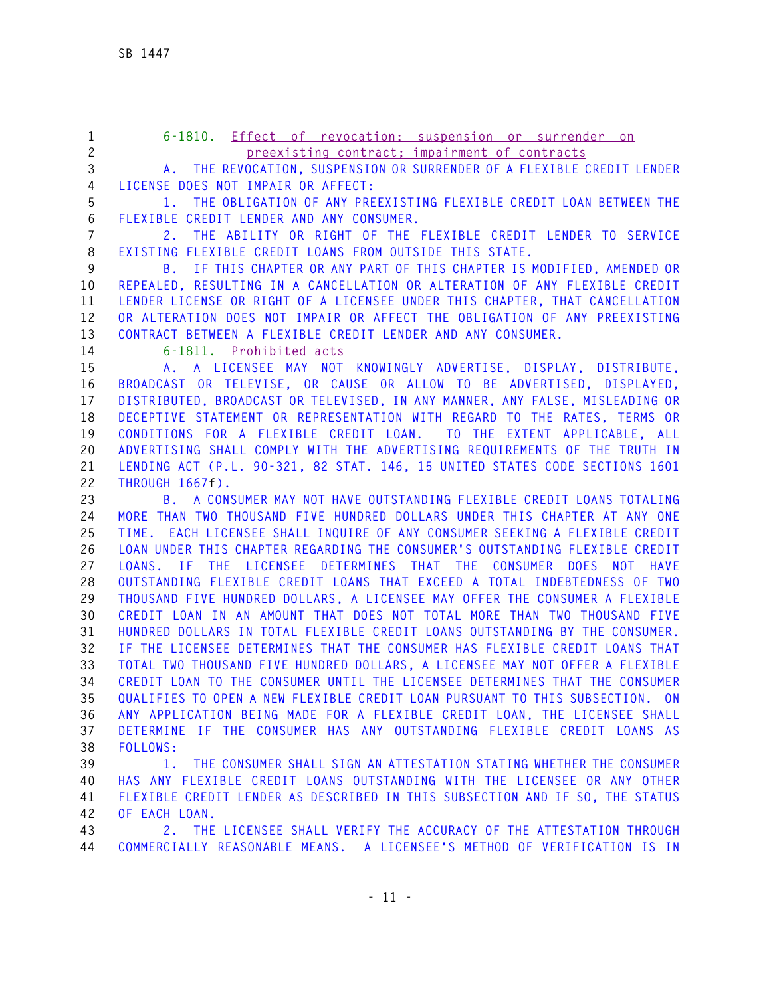- **1 6-1810. Effect of revocation; suspension or surrender on 2 preexisting contract; impairment of contracts 3 A. THE REVOCATION, SUSPENSION OR SURRENDER OF A FLEXIBLE CREDIT LENDER**
- 

**4 LICENSE DOES NOT IMPAIR OR AFFECT: 5 1. THE OBLIGATION OF ANY PREEXISTING FLEXIBLE CREDIT LOAN BETWEEN THE 6 FLEXIBLE CREDIT LENDER AND ANY CONSUMER.** 

**7 2. THE ABILITY OR RIGHT OF THE FLEXIBLE CREDIT LENDER TO SERVICE 8 EXISTING FLEXIBLE CREDIT LOANS FROM OUTSIDE THIS STATE.** 

**9 B. IF THIS CHAPTER OR ANY PART OF THIS CHAPTER IS MODIFIED, AMENDED OR 10 REPEALED, RESULTING IN A CANCELLATION OR ALTERATION OF ANY FLEXIBLE CREDIT 11 LENDER LICENSE OR RIGHT OF A LICENSEE UNDER THIS CHAPTER, THAT CANCELLATION 12 OR ALTERATION DOES NOT IMPAIR OR AFFECT THE OBLIGATION OF ANY PREEXISTING 13 CONTRACT BETWEEN A FLEXIBLE CREDIT LENDER AND ANY CONSUMER.** 

**14 6-1811. Prohibited acts**

**15 A. A LICENSEE MAY NOT KNOWINGLY ADVERTISE, DISPLAY, DISTRIBUTE, 16 BROADCAST OR TELEVISE, OR CAUSE OR ALLOW TO BE ADVERTISED, DISPLAYED, 17 DISTRIBUTED, BROADCAST OR TELEVISED, IN ANY MANNER, ANY FALSE, MISLEADING OR 18 DECEPTIVE STATEMENT OR REPRESENTATION WITH REGARD TO THE RATES, TERMS OR 19 CONDITIONS FOR A FLEXIBLE CREDIT LOAN. TO THE EXTENT APPLICABLE, ALL 20 ADVERTISING SHALL COMPLY WITH THE ADVERTISING REQUIREMENTS OF THE TRUTH IN 21 LENDING ACT (P.L. 90-321, 82 STAT. 146, 15 UNITED STATES CODE SECTIONS 1601 22 THROUGH 1667f).** 

**23 B. A CONSUMER MAY NOT HAVE OUTSTANDING FLEXIBLE CREDIT LOANS TOTALING 24 MORE THAN TWO THOUSAND FIVE HUNDRED DOLLARS UNDER THIS CHAPTER AT ANY ONE 25 TIME. EACH LICENSEE SHALL INQUIRE OF ANY CONSUMER SEEKING A FLEXIBLE CREDIT 26 LOAN UNDER THIS CHAPTER REGARDING THE CONSUMER'S OUTSTANDING FLEXIBLE CREDIT 27 LOANS. IF THE LICENSEE DETERMINES THAT THE CONSUMER DOES NOT HAVE 28 OUTSTANDING FLEXIBLE CREDIT LOANS THAT EXCEED A TOTAL INDEBTEDNESS OF TWO 29 THOUSAND FIVE HUNDRED DOLLARS, A LICENSEE MAY OFFER THE CONSUMER A FLEXIBLE 30 CREDIT LOAN IN AN AMOUNT THAT DOES NOT TOTAL MORE THAN TWO THOUSAND FIVE 31 HUNDRED DOLLARS IN TOTAL FLEXIBLE CREDIT LOANS OUTSTANDING BY THE CONSUMER. 32 IF THE LICENSEE DETERMINES THAT THE CONSUMER HAS FLEXIBLE CREDIT LOANS THAT 33 TOTAL TWO THOUSAND FIVE HUNDRED DOLLARS, A LICENSEE MAY NOT OFFER A FLEXIBLE 34 CREDIT LOAN TO THE CONSUMER UNTIL THE LICENSEE DETERMINES THAT THE CONSUMER 35 QUALIFIES TO OPEN A NEW FLEXIBLE CREDIT LOAN PURSUANT TO THIS SUBSECTION. ON 36 ANY APPLICATION BEING MADE FOR A FLEXIBLE CREDIT LOAN, THE LICENSEE SHALL 37 DETERMINE IF THE CONSUMER HAS ANY OUTSTANDING FLEXIBLE CREDIT LOANS AS 38 FOLLOWS:** 

**39 1. THE CONSUMER SHALL SIGN AN ATTESTATION STATING WHETHER THE CONSUMER 40 HAS ANY FLEXIBLE CREDIT LOANS OUTSTANDING WITH THE LICENSEE OR ANY OTHER 41 FLEXIBLE CREDIT LENDER AS DESCRIBED IN THIS SUBSECTION AND IF SO, THE STATUS 42 OF EACH LOAN.** 

**43 2. THE LICENSEE SHALL VERIFY THE ACCURACY OF THE ATTESTATION THROUGH 44 COMMERCIALLY REASONABLE MEANS. A LICENSEE'S METHOD OF VERIFICATION IS IN**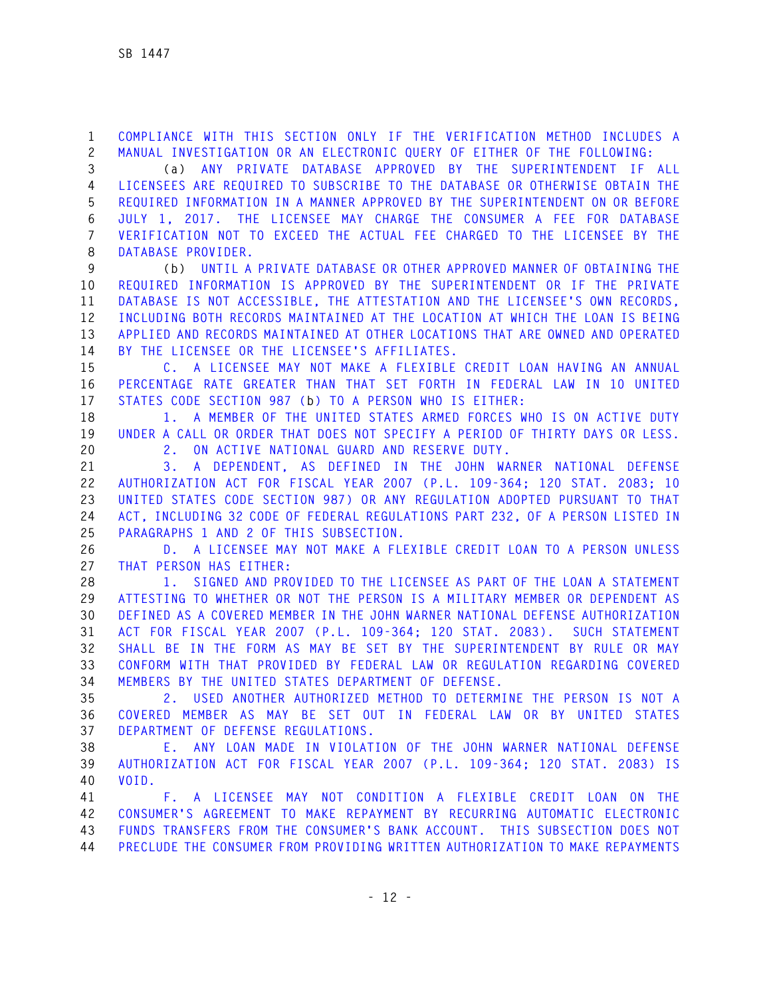**1 COMPLIANCE WITH THIS SECTION ONLY IF THE VERIFICATION METHOD INCLUDES A 2 MANUAL INVESTIGATION OR AN ELECTRONIC QUERY OF EITHER OF THE FOLLOWING:** 

**3 (a) ANY PRIVATE DATABASE APPROVED BY THE SUPERINTENDENT IF ALL 4 LICENSEES ARE REQUIRED TO SUBSCRIBE TO THE DATABASE OR OTHERWISE OBTAIN THE 5 REQUIRED INFORMATION IN A MANNER APPROVED BY THE SUPERINTENDENT ON OR BEFORE 6 JULY 1, 2017. THE LICENSEE MAY CHARGE THE CONSUMER A FEE FOR DATABASE 7 VERIFICATION NOT TO EXCEED THE ACTUAL FEE CHARGED TO THE LICENSEE BY THE 8 DATABASE PROVIDER.** 

**9 (b) UNTIL A PRIVATE DATABASE OR OTHER APPROVED MANNER OF OBTAINING THE 10 REQUIRED INFORMATION IS APPROVED BY THE SUPERINTENDENT OR IF THE PRIVATE 11 DATABASE IS NOT ACCESSIBLE, THE ATTESTATION AND THE LICENSEE'S OWN RECORDS, 12 INCLUDING BOTH RECORDS MAINTAINED AT THE LOCATION AT WHICH THE LOAN IS BEING 13 APPLIED AND RECORDS MAINTAINED AT OTHER LOCATIONS THAT ARE OWNED AND OPERATED 14 BY THE LICENSEE OR THE LICENSEE'S AFFILIATES.** 

**15 C. A LICENSEE MAY NOT MAKE A FLEXIBLE CREDIT LOAN HAVING AN ANNUAL 16 PERCENTAGE RATE GREATER THAN THAT SET FORTH IN FEDERAL LAW IN 10 UNITED 17 STATES CODE SECTION 987 (b) TO A PERSON WHO IS EITHER:** 

**18 1. A MEMBER OF THE UNITED STATES ARMED FORCES WHO IS ON ACTIVE DUTY 19 UNDER A CALL OR ORDER THAT DOES NOT SPECIFY A PERIOD OF THIRTY DAYS OR LESS. 20 2. ON ACTIVE NATIONAL GUARD AND RESERVE DUTY.** 

**21 3. A DEPENDENT, AS DEFINED IN THE JOHN WARNER NATIONAL DEFENSE 22 AUTHORIZATION ACT FOR FISCAL YEAR 2007 (P.L. 109-364; 120 STAT. 2083; 10 23 UNITED STATES CODE SECTION 987) OR ANY REGULATION ADOPTED PURSUANT TO THAT 24 ACT, INCLUDING 32 CODE OF FEDERAL REGULATIONS PART 232, OF A PERSON LISTED IN 25 PARAGRAPHS 1 AND 2 OF THIS SUBSECTION.** 

**26 D. A LICENSEE MAY NOT MAKE A FLEXIBLE CREDIT LOAN TO A PERSON UNLESS 27 THAT PERSON HAS EITHER:** 

**28 1. SIGNED AND PROVIDED TO THE LICENSEE AS PART OF THE LOAN A STATEMENT 29 ATTESTING TO WHETHER OR NOT THE PERSON IS A MILITARY MEMBER OR DEPENDENT AS 30 DEFINED AS A COVERED MEMBER IN THE JOHN WARNER NATIONAL DEFENSE AUTHORIZATION 31 ACT FOR FISCAL YEAR 2007 (P.L. 109-364; 120 STAT. 2083). SUCH STATEMENT 32 SHALL BE IN THE FORM AS MAY BE SET BY THE SUPERINTENDENT BY RULE OR MAY 33 CONFORM WITH THAT PROVIDED BY FEDERAL LAW OR REGULATION REGARDING COVERED 34 MEMBERS BY THE UNITED STATES DEPARTMENT OF DEFENSE.** 

**35 2. USED ANOTHER AUTHORIZED METHOD TO DETERMINE THE PERSON IS NOT A 36 COVERED MEMBER AS MAY BE SET OUT IN FEDERAL LAW OR BY UNITED STATES 37 DEPARTMENT OF DEFENSE REGULATIONS.** 

**38 E. ANY LOAN MADE IN VIOLATION OF THE JOHN WARNER NATIONAL DEFENSE 39 AUTHORIZATION ACT FOR FISCAL YEAR 2007 (P.L. 109-364; 120 STAT. 2083) IS 40 VOID.** 

**41 F. A LICENSEE MAY NOT CONDITION A FLEXIBLE CREDIT LOAN ON THE 42 CONSUMER'S AGREEMENT TO MAKE REPAYMENT BY RECURRING AUTOMATIC ELECTRONIC 43 FUNDS TRANSFERS FROM THE CONSUMER'S BANK ACCOUNT. THIS SUBSECTION DOES NOT 44 PRECLUDE THE CONSUMER FROM PROVIDING WRITTEN AUTHORIZATION TO MAKE REPAYMENTS**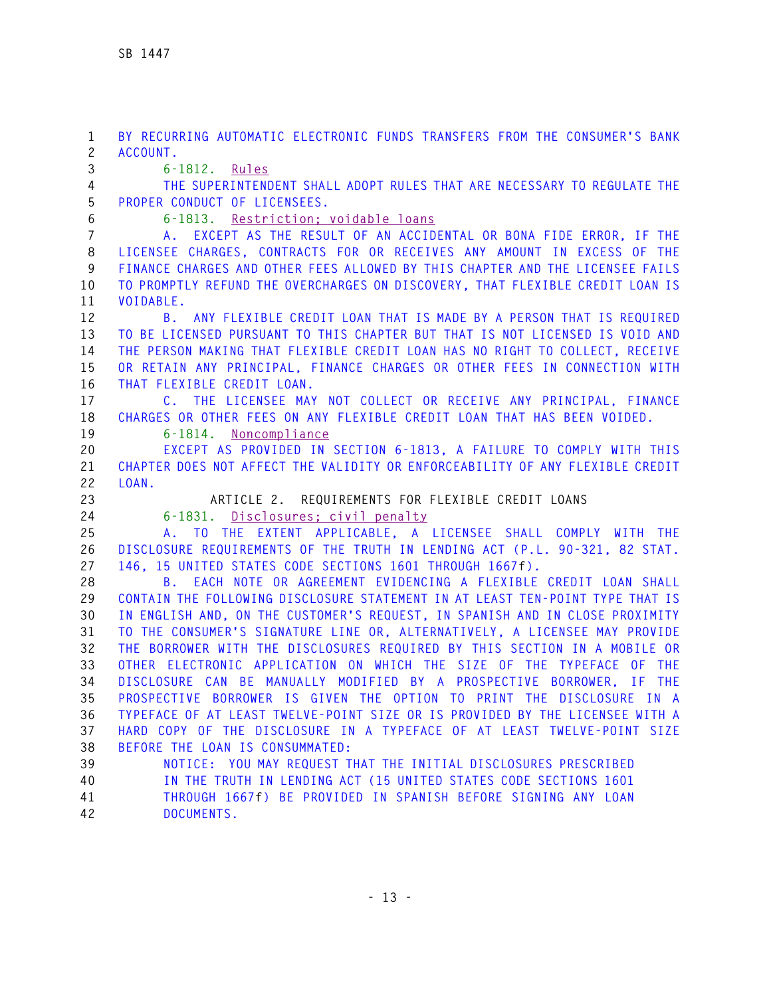**1 BY RECURRING AUTOMATIC ELECTRONIC FUNDS TRANSFERS FROM THE CONSUMER'S BANK 2 ACCOUNT. 3 6-1812. Rules 4 THE SUPERINTENDENT SHALL ADOPT RULES THAT ARE NECESSARY TO REGULATE THE 5 PROPER CONDUCT OF LICENSEES. 6 6-1813. Restriction; voidable loans 7 A. EXCEPT AS THE RESULT OF AN ACCIDENTAL OR BONA FIDE ERROR, IF THE 8 LICENSEE CHARGES, CONTRACTS FOR OR RECEIVES ANY AMOUNT IN EXCESS OF THE 9 FINANCE CHARGES AND OTHER FEES ALLOWED BY THIS CHAPTER AND THE LICENSEE FAILS 10 TO PROMPTLY REFUND THE OVERCHARGES ON DISCOVERY, THAT FLEXIBLE CREDIT LOAN IS 11 VOIDABLE. 12 B. ANY FLEXIBLE CREDIT LOAN THAT IS MADE BY A PERSON THAT IS REQUIRED 13 TO BE LICENSED PURSUANT TO THIS CHAPTER BUT THAT IS NOT LICENSED IS VOID AND 14 THE PERSON MAKING THAT FLEXIBLE CREDIT LOAN HAS NO RIGHT TO COLLECT, RECEIVE 15 OR RETAIN ANY PRINCIPAL, FINANCE CHARGES OR OTHER FEES IN CONNECTION WITH 16 THAT FLEXIBLE CREDIT LOAN. 17 C. THE LICENSEE MAY NOT COLLECT OR RECEIVE ANY PRINCIPAL, FINANCE 18 CHARGES OR OTHER FEES ON ANY FLEXIBLE CREDIT LOAN THAT HAS BEEN VOIDED. 19 6-1814. Noncompliance 20 EXCEPT AS PROVIDED IN SECTION 6-1813, A FAILURE TO COMPLY WITH THIS 21 CHAPTER DOES NOT AFFECT THE VALIDITY OR ENFORCEABILITY OF ANY FLEXIBLE CREDIT 22 LOAN. 23 ARTICLE 2. REQUIREMENTS FOR FLEXIBLE CREDIT LOANS 24 6-1831. Disclosures; civil penalty 25 A. TO THE EXTENT APPLICABLE, A LICENSEE SHALL COMPLY WITH THE 26 DISCLOSURE REQUIREMENTS OF THE TRUTH IN LENDING ACT (P.L. 90-321, 82 STAT. 27 146, 15 UNITED STATES CODE SECTIONS 1601 THROUGH 1667f). 28 B. EACH NOTE OR AGREEMENT EVIDENCING A FLEXIBLE CREDIT LOAN SHALL 29 CONTAIN THE FOLLOWING DISCLOSURE STATEMENT IN AT LEAST TEN-POINT TYPE THAT IS 30 IN ENGLISH AND, ON THE CUSTOMER'S REQUEST, IN SPANISH AND IN CLOSE PROXIMITY 31 TO THE CONSUMER'S SIGNATURE LINE OR, ALTERNATIVELY, A LICENSEE MAY PROVIDE 32 THE BORROWER WITH THE DISCLOSURES REQUIRED BY THIS SECTION IN A MOBILE OR 33 OTHER ELECTRONIC APPLICATION ON WHICH THE SIZE OF THE TYPEFACE OF THE 34 DISCLOSURE CAN BE MANUALLY MODIFIED BY A PROSPECTIVE BORROWER, IF THE 35 PROSPECTIVE BORROWER IS GIVEN THE OPTION TO PRINT THE DISCLOSURE IN A 36 TYPEFACE OF AT LEAST TWELVE-POINT SIZE OR IS PROVIDED BY THE LICENSEE WITH A 37 HARD COPY OF THE DISCLOSURE IN A TYPEFACE OF AT LEAST TWELVE-POINT SIZE 38 BEFORE THE LOAN IS CONSUMMATED: 39 NOTICE: YOU MAY REQUEST THAT THE INITIAL DISCLOSURES PRESCRIBED 40 IN THE TRUTH IN LENDING ACT (15 UNITED STATES CODE SECTIONS 1601 41 THROUGH 1667f) BE PROVIDED IN SPANISH BEFORE SIGNING ANY LOAN 42 DOCUMENTS.**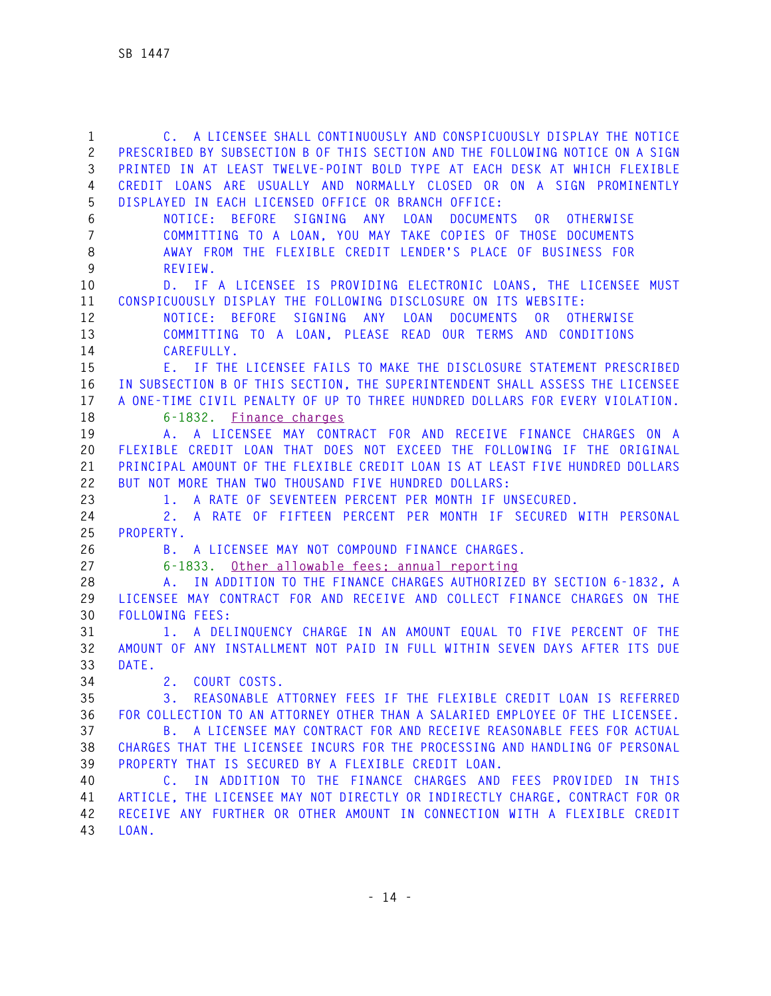**1 C. A LICENSEE SHALL CONTINUOUSLY AND CONSPICUOUSLY DISPLAY THE NOTICE 2 PRESCRIBED BY SUBSECTION B OF THIS SECTION AND THE FOLLOWING NOTICE ON A SIGN 3 PRINTED IN AT LEAST TWELVE-POINT BOLD TYPE AT EACH DESK AT WHICH FLEXIBLE 4 CREDIT LOANS ARE USUALLY AND NORMALLY CLOSED OR ON A SIGN PROMINENTLY 5 DISPLAYED IN EACH LICENSED OFFICE OR BRANCH OFFICE: 6 NOTICE: BEFORE SIGNING ANY LOAN DOCUMENTS OR OTHERWISE 7 COMMITTING TO A LOAN, YOU MAY TAKE COPIES OF THOSE DOCUMENTS 8 AWAY FROM THE FLEXIBLE CREDIT LENDER'S PLACE OF BUSINESS FOR 9 REVIEW. 10 D. IF A LICENSEE IS PROVIDING ELECTRONIC LOANS, THE LICENSEE MUST 11 CONSPICUOUSLY DISPLAY THE FOLLOWING DISCLOSURE ON ITS WEBSITE: 12 NOTICE: BEFORE SIGNING ANY LOAN DOCUMENTS OR OTHERWISE 13 COMMITTING TO A LOAN, PLEASE READ OUR TERMS AND CONDITIONS 14 CAREFULLY. 15 E. IF THE LICENSEE FAILS TO MAKE THE DISCLOSURE STATEMENT PRESCRIBED 16 IN SUBSECTION B OF THIS SECTION, THE SUPERINTENDENT SHALL ASSESS THE LICENSEE 17 A ONE-TIME CIVIL PENALTY OF UP TO THREE HUNDRED DOLLARS FOR EVERY VIOLATION. 18 6-1832. Finance charges 19 A. A LICENSEE MAY CONTRACT FOR AND RECEIVE FINANCE CHARGES ON A 20 FLEXIBLE CREDIT LOAN THAT DOES NOT EXCEED THE FOLLOWING IF THE ORIGINAL 21 PRINCIPAL AMOUNT OF THE FLEXIBLE CREDIT LOAN IS AT LEAST FIVE HUNDRED DOLLARS 22 BUT NOT MORE THAN TWO THOUSAND FIVE HUNDRED DOLLARS: 23 1. A RATE OF SEVENTEEN PERCENT PER MONTH IF UNSECURED. 24 2. A RATE OF FIFTEEN PERCENT PER MONTH IF SECURED WITH PERSONAL 25 PROPERTY. 26 B. A LICENSEE MAY NOT COMPOUND FINANCE CHARGES. 27 6-1833. Other allowable fees; annual reporting 28 A. IN ADDITION TO THE FINANCE CHARGES AUTHORIZED BY SECTION 6-1832, A 29 LICENSEE MAY CONTRACT FOR AND RECEIVE AND COLLECT FINANCE CHARGES ON THE 30 FOLLOWING FEES: 31 1. A DELINQUENCY CHARGE IN AN AMOUNT EQUAL TO FIVE PERCENT OF THE 32 AMOUNT OF ANY INSTALLMENT NOT PAID IN FULL WITHIN SEVEN DAYS AFTER ITS DUE 33 DATE. 34 2. COURT COSTS. 35 3. REASONABLE ATTORNEY FEES IF THE FLEXIBLE CREDIT LOAN IS REFERRED 36 FOR COLLECTION TO AN ATTORNEY OTHER THAN A SALARIED EMPLOYEE OF THE LICENSEE. 37 B. A LICENSEE MAY CONTRACT FOR AND RECEIVE REASONABLE FEES FOR ACTUAL 38 CHARGES THAT THE LICENSEE INCURS FOR THE PROCESSING AND HANDLING OF PERSONAL 39 PROPERTY THAT IS SECURED BY A FLEXIBLE CREDIT LOAN. 40 C. IN ADDITION TO THE FINANCE CHARGES AND FEES PROVIDED IN THIS 41 ARTICLE, THE LICENSEE MAY NOT DIRECTLY OR INDIRECTLY CHARGE, CONTRACT FOR OR 42 RECEIVE ANY FURTHER OR OTHER AMOUNT IN CONNECTION WITH A FLEXIBLE CREDIT 43 LOAN.**